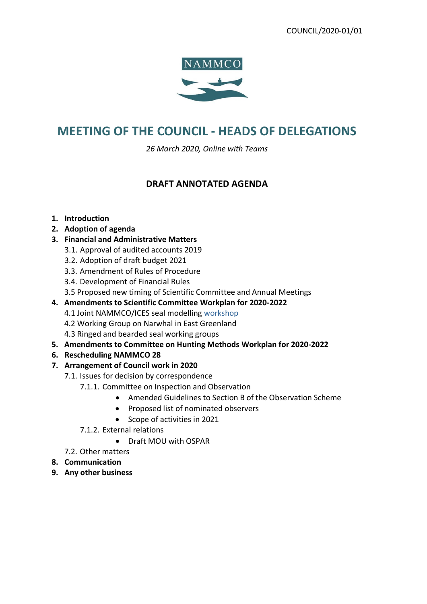

# **MEETING OF THE COUNCIL - HEADS OF DELEGATIONS**

*26 March 2020, Online with Teams*

## **DRAFT ANNOTATED AGENDA**

#### **1. Introduction**

- **2. Adoption of agenda**
- **3. Financial and Administrative Matters**
	- 3.1. Approval of audited accounts 2019
	- 3.2. Adoption of draft budget 2021
	- 3.3. Amendment of Rules of Procedure
	- 3.4. Development of Financial Rules
	- 3.5 Proposed new timing of Scientific Committee and Annual Meetings
- **4. Amendments to Scientific Committee Workplan for 2020-2022**
	- 4.1 Joint NAMMCO/ICES seal modelling workshop
	- 4.2 Working Group on Narwhal in East Greenland
	- 4.3 Ringed and bearded seal working groups
- **5. Amendments to Committee on Hunting Methods Workplan for 2020-2022**
- **6. Rescheduling NAMMCO 28**
- **7. Arrangement of Council work in 2020**
	- 7.1. Issues for decision by correspondence
		- 7.1.1. Committee on Inspection and Observation
			- Amended Guidelines to Section B of the Observation Scheme
			- Proposed list of nominated observers
			- Scope of activities in 2021
		- 7.1.2. External relations
			- Draft MOU with OSPAR
	- 7.2. Other matters
- **8. Communication**
- **9. Any other business**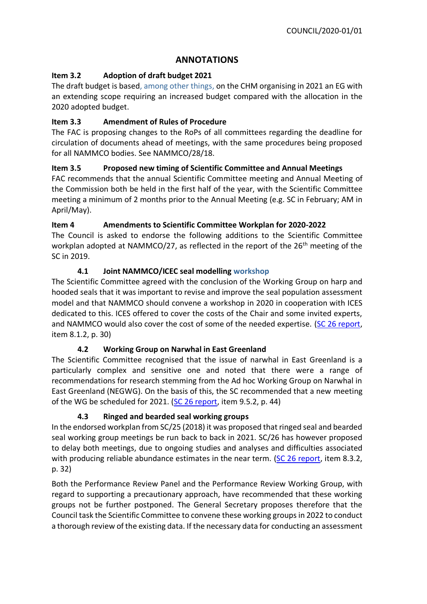## **ANNOTATIONS**

## **Item 3.2 Adoption of draft budget 2021**

The draft budget is based, among other things, on the CHM organising in 2021 an EG with an extending scope requiring an increased budget compared with the allocation in the 2020 adopted budget.

## **Item 3.3 Amendment of Rules of Procedure**

The FAC is proposing changes to the RoPs of all committees regarding the deadline for circulation of documents ahead of meetings, with the same procedures being proposed for all NAMMCO bodies. See NAMMCO/28/18.

## **Item 3.5 Proposed new timing of Scientific Committee and Annual Meetings**

FAC recommends that the annual Scientific Committee meeting and Annual Meeting of the Commission both be held in the first half of the year, with the Scientific Committee meeting a minimum of 2 months prior to the Annual Meeting (e.g. SC in February; AM in April/May).

## **Item 4 Amendments to Scientific Committee Workplan for 2020-2022**

The Council is asked to endorse the following additions to the Scientific Committee workplan adopted at NAMMCO/27, as reflected in the report of the  $26<sup>th</sup>$  meeting of the SC in 2019.

## **4.1 Joint NAMMCO/ICEC seal modelling workshop**

The Scientific Committee agreed with the conclusion of the Working Group on harp and hooded seals that it was important to revise and improve the seal population assessment model and that NAMMCO should convene a workshop in 2020 in cooperation with ICES dedicated to this. ICES offered to cover the costs of the Chair and some invited experts, and NAMMCO would also cover the cost of some of the needed expertise. [\(SC 26 report,](https://nammco.no/wp-content/uploads/2017/01/final-report_sc26-2019_rev230120.pdf) item 8.1.2, p. 30)

#### **4.2 Working Group on Narwhal in East Greenland**

The Scientific Committee recognised that the issue of narwhal in East Greenland is a particularly complex and sensitive one and noted that there were a range of recommendations for research stemming from the Ad hoc Working Group on Narwhal in East Greenland (NEGWG). On the basis of this, the SC recommended that a new meeting of the WG be scheduled for 2021. [\(SC 26 report,](https://nammco.no/wp-content/uploads/2017/01/final-report_sc26-2019_rev230120.pdf) item 9.5.2, p. 44)

#### **4.3 Ringed and bearded seal working groups**

In the endorsed workplan from SC/25 (2018) it was proposed that ringed seal and bearded seal working group meetings be run back to back in 2021. SC/26 has however proposed to delay both meetings, due to ongoing studies and analyses and difficulties associated with producing reliable abundance estimates in the near term. [\(SC 26 report,](https://nammco.no/wp-content/uploads/2017/01/final-report_sc26-2019_rev230120.pdf) item 8.3.2, p. 32)

Both the Performance Review Panel and the Performance Review Working Group, with regard to supporting a precautionary approach, have recommended that these working groups not be further postponed. The General Secretary proposes therefore that the Council task the Scientific Committee to convene these working groups in 2022 to conduct a thorough review of the existing data. If the necessary data for conducting an assessment